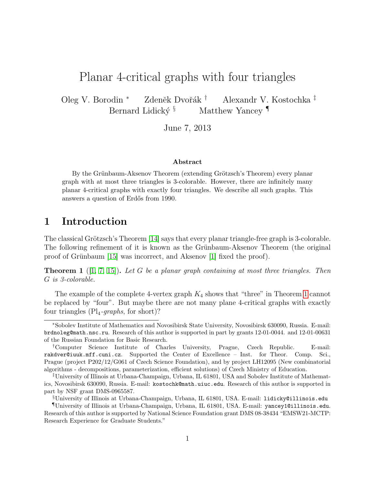# Planar 4-critical graphs with four triangles

Oleg V. Borodin <sup>∗</sup> Zdeněk Dvořák <sup>†</sup> Alexandr V. Kostochka <sup>‡</sup> Bernard Lidický $\frac{1}{3}$  Matthew Yancey

June 7, 2013

### Abstract

By the Grünbaum-Aksenov Theorem (extending Grötzsch's Theorem) every planar graph with at most three triangles is 3-colorable. However, there are infinitely many planar 4-critical graphs with exactly four triangles. We describe all such graphs. This answers a question of Erdős from 1990.

## 1 Introduction

The classical Grötzsch's Theorem  $[14]$  says that every planar triangle-free graph is 3-colorable. The following refinement of it is known as the Grünbaum-Aksenov Theorem (the original proof of Grünbaum [\[15\]](#page-19-1) was incorrect, and Aksenov [\[1\]](#page-18-0) fixed the proof).

<span id="page-0-0"></span>**Theorem 1** ([\[1,](#page-18-0) [7,](#page-18-1) [15\]](#page-19-1)). Let G be a planar graph containing at most three triangles. Then G is 3-colorable.

The example of the complete 4-vertex graph  $K_4$  shows that "three" in Theorem [1](#page-0-0) cannot be replaced by "four". But maybe there are not many plane 4-critical graphs with exactly four triangles  $(Pl_4$ -graphs, for short)?

<sup>∗</sup>Sobolev Institute of Mathematics and Novosibirsk State University, Novosibirsk 630090, Russia. E-mail: brdnoleg@math.nsc.ru. Research of this author is supported in part by grants 12-01-0044. and 12-01-00631 of the Russian Foundation for Basic Research.

<sup>†</sup>Computer Science Institute of Charles University, Prague, Czech Republic. E-mail: rakdver@iuuk.mff.cuni.cz. Supported the Center of Excellence – Inst. for Theor. Comp. Sci., Prague (project P202/12/G061 of Czech Science Foundation), and by project LH12095 (New combinatorial algorithms - decompositions, parameterization, efficient solutions) of Czech Ministry of Education.

<sup>‡</sup>University of Illinois at Urbana-Champaign, Urbana, IL 61801, USA and Sobolev Institute of Mathematics, Novosibirsk 630090, Russia. E-mail: kostochk@math.uiuc.edu. Research of this author is supported in part by NSF grant DMS-0965587.

<sup>§</sup>University of Illinois at Urbana-Champaign, Urbana, IL 61801, USA. E-mail: lidicky@illinois.edu

<sup>¶</sup>University of Illinois at Urbana-Champaign, Urbana, IL 61801, USA. E-mail: yancey1@illinois.edu. Research of this author is supported by National Science Foundation grant DMS 08-38434 "EMSW21-MCTP: Research Experience for Graduate Students."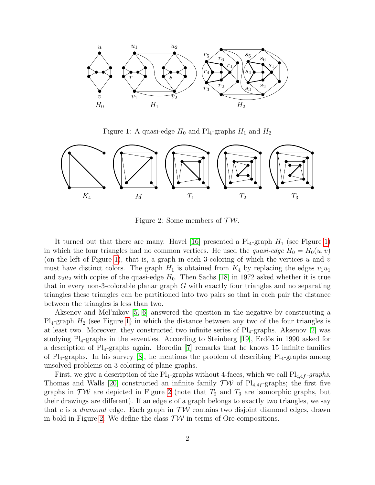

<span id="page-1-0"></span>Figure 1: A quasi-edge  $H_0$  and Pl<sub>4</sub>-graphs  $H_1$  and  $H_2$ 



<span id="page-1-1"></span>Figure 2: Some members of  $TW$ .

It turned out that there are many. Havel [\[16\]](#page-19-2) presented a  $Pl_4$ -graph  $H_1$  (see Figure [1\)](#page-1-0) in which the four triangles had no common vertices. He used the *quasi-edge*  $H_0 = H_0(u, v)$ (on the left of Figure [1\)](#page-1-0), that is, a graph in each 3-coloring of which the vertices u and v must have distinct colors. The graph  $H_1$  is obtained from  $K_4$  by replacing the edges  $v_1u_1$ and  $v_2u_2$  with copies of the quasi-edge  $H_0$ . Then Sachs [\[18\]](#page-19-3) in 1972 asked whether it is true that in every non-3-colorable planar graph G with exactly four triangles and no separating triangles these triangles can be partitioned into two pairs so that in each pair the distance between the triangles is less than two.

Aksenov and Mel'nikov [\[5,](#page-18-2) [6\]](#page-18-3) answered the question in the negative by constructing a  $Pl_4$ -graph  $H_2$  (see Figure [1\)](#page-1-0) in which the distance between any two of the four triangles is at least two. Moreover, they constructed two infinite series of  $Pl_4$ -graphs. Aksenov [\[2\]](#page-18-4) was studying  $Pl_4$ -graphs in the seventies. According to Steinberg  $|19|$ , Erdős in 1990 asked for a description of  $Pl_4$ -graphs again. Borodin [\[7\]](#page-18-1) remarks that he knows 15 infinite families of  $\text{Pl}_4$ -graphs. In his survey [\[8\]](#page-19-5), he mentions the problem of describing  $\text{Pl}_4$ -graphs among unsolved problems on 3-coloring of plane graphs.

First, we give a description of the Pl<sub>4</sub>-graphs without 4-faces, which we call Pl<sub>4,4f</sub>-graphs. Thomas and Walls [\[20\]](#page-19-6) constructed an infinite family  $\mathcal{TW}$  of Pl<sub>4,4f</sub>-graphs; the first five graphs in  $TW$  are depicted in Figure [2](#page-1-1) (note that  $T_2$  and  $T_3$  are isomorphic graphs, but their drawings are different). If an edge e of a graph belongs to exactly two triangles, we say that e is a *diamond* edge. Each graph in  $TW$  contains two disjoint diamond edges, drawn in bold in Figure [2.](#page-1-1) We define the class  $\mathcal{TW}$  in terms of Ore-compositions.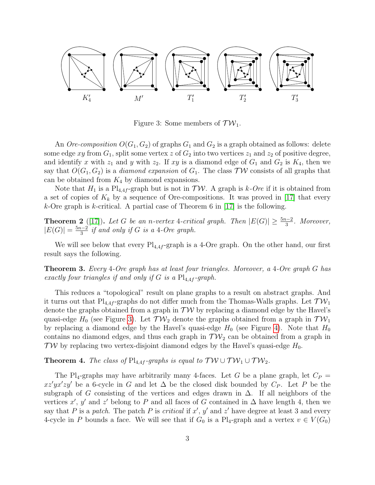

<span id="page-2-0"></span>Figure 3: Some members of  $TW_1$ .

An *Ore-composition*  $O(G_1, G_2)$  of graphs  $G_1$  and  $G_2$  is a graph obtained as follows: delete some edge xy from  $G_1$ , split some vertex z of  $G_2$  into two vertices  $z_1$  and  $z_2$  of positive degree, and identify x with  $z_1$  and y with  $z_2$ . If xy is a diamond edge of  $G_1$  and  $G_2$  is  $K_4$ , then we say that  $O(G_1, G_2)$  is a *diamond expansion* of  $G_1$ . The class  $\mathcal{TW}$  consists of all graphs that can be obtained from  $K_4$  by diamond expansions.

Note that  $H_1$  is a Pl<sub>4,4f</sub>-graph but is not in  $\mathcal{TW}$ . A graph is k-Ore if it is obtained from a set of copies of  $K_k$  by a sequence of Ore-compositions. It was proved in [\[17\]](#page-19-7) that every k-Ore graph is k-critical. A partial case of Theorem 6 in  $[17]$  is the following.

<span id="page-2-3"></span>**Theorem 2** ([\[17\]](#page-19-7)). Let G be an n-vertex 4-critical graph. Then  $|E(G)| \ge \frac{5n-2}{3}$ . Moreover,  $|E(G)| = \frac{5n-2}{3}$  if and only if G is a 4-Ore graph.

We will see below that every  $\text{Pl}_{4,4f}$ -graph is a 4-Ore graph. On the other hand, our first result says the following.

<span id="page-2-1"></span>Theorem 3. Every 4-Ore graph has at least four triangles. Moreover, a 4-Ore graph G has exactly four triangles if and only if G is a  $Pl_{4,4f}$ -graph.

This reduces a "topological" result on plane graphs to a result on abstract graphs. And it turns out that  $\text{Pl}_{4,4f}$ -graphs do not differ much from the Thomas-Walls graphs. Let  $\mathcal{TW}_1$ denote the graphs obtained from a graph in  $\mathcal{TW}$  by replacing a diamond edge by the Havel's quasi-edge  $H_0$  (see Figure [3\)](#page-2-0). Let  $\mathcal{TW}_2$  denote the graphs obtained from a graph in  $\mathcal{TW}_1$ by replacing a diamond edge by the Havel's quasi-edge  $H_0$  (see Figure [4\)](#page-3-0). Note that  $H_0$ contains no diamond edges, and thus each graph in  $TW_2$  can be obtained from a graph in  $TW$  by replacing two vertex-disjoint diamond edges by the Havel's quasi-edge  $H_0$ .

<span id="page-2-2"></span>**Theorem 4.** The class of Pl<sub>4,4f</sub>-graphs is equal to  $TW \cup TW_1 \cup TW_2$ .

The Pl<sub>4</sub>-graphs may have arbitrarily many 4-faces. Let G be a plane graph, let  $C_P$  =  $xz'yx'zy'$  be a 6-cycle in G and let  $\Delta$  be the closed disk bounded by  $C_P$ . Let P be the subgraph of G consisting of the vertices and edges drawn in  $\Delta$ . If all neighbors of the vertices x', y' and z' belong to P and all faces of G contained in  $\Delta$  have length 4, then we say that P is a patch. The patch P is critical if  $x'$ ,  $y'$  and  $z'$  have degree at least 3 and every 4-cycle in P bounds a face. We will see that if  $G_0$  is a Pl<sub>4</sub>-graph and a vertex  $v \in V(G_0)$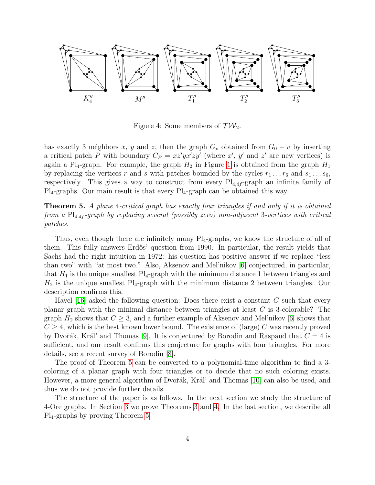

<span id="page-3-0"></span>Figure 4: Some members of  $TW_2$ .

has exactly 3 neighbors x, y and z, then the graph  $G_v$  obtained from  $G_0 - v$  by inserting a critical patch P with boundary  $C_P = xz'yx'zy'$  (where x', y' and z' are new vertices) is again a Pl<sub>4</sub>-graph. For example, the graph  $H_2$  in Figure [1](#page-1-0) is obtained from the graph  $H_1$ by replacing the vertices r and s with patches bounded by the cycles  $r_1 \dots r_6$  and  $s_1 \dots s_6$ , respectively. This gives a way to construct from every  $Pl_{4,4f}$ -graph an infinite family of  $Pl_4$ -graphs. Our main result is that every  $Pl_4$ -graph can be obtained this way.

<span id="page-3-1"></span>Theorem 5. A plane 4-critical graph has exactly four triangles if and only if it is obtained from a  $\text{Pl}_{4,4f}$ -graph by replacing several (possibly zero) non-adjacent 3-vertices with critical patches.

Thus, even though there are infinitely many  $Pl_4$ -graphs, we know the structure of all of them. This fully answers Erdős' question from 1990. In particular, the result yields that Sachs had the right intuition in 1972: his question has positive answer if we replace "less than two" with "at most two." Also, Aksenov and Mel'nikov [\[6\]](#page-18-3) conjectured, in particular, that  $H_1$  is the unique smallest  $\text{Pl}_4$ -graph with the minimum distance 1 between triangles and  $H_2$  is the unique smallest Pl<sub>4</sub>-graph with the minimum distance 2 between triangles. Our description confirms this.

Havel [\[16\]](#page-19-2) asked the following question: Does there exist a constant C such that every planar graph with the minimal distance between triangles at least C is 3-colorable? The graph  $H_2$  shows that  $C \geq 3$ , and a further example of Aksenov and Mel'nikov [\[6\]](#page-18-3) shows that  $C > 4$ , which is the best known lower bound. The existence of (large) C was recently proved by Dvořák, Král' and Thomas [\[9\]](#page-19-8). It is conjectured by Borodin and Raspaud that  $C = 4$  is sufficient, and our result confirms this conjecture for graphs with four triangles. For more details, see a recent survey of Borodin [\[8\]](#page-19-5).

The proof of Theorem [5](#page-3-1) can be converted to a polynomial-time algorithm to find a 3 coloring of a planar graph with four triangles or to decide that no such coloring exists. However, a more general algorithm of Dvořák, Král' and Thomas [\[10\]](#page-19-9) can also be used, and thus we do not provide further details.

The structure of the paper is as follows. In the next section we study the structure of 4-Ore graphs. In Section [3](#page-6-0) we prove Theorems [3](#page-2-1) and [4.](#page-2-2) In the last section, we describe all Pl4-graphs by proving Theorem [5.](#page-3-1)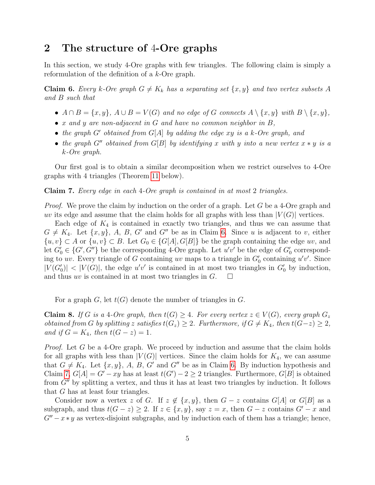## 2 The structure of 4-Ore graphs

In this section, we study 4-Ore graphs with few triangles. The following claim is simply a reformulation of the definition of a k-Ore graph.

<span id="page-4-0"></span>**Claim 6.** Every k-Ore graph  $G \neq K_k$  has a separating set  $\{x, y\}$  and two vertex subsets A and B such that

- $A \cap B = \{x, y\}, A \cup B = V(G)$  and no edge of G connects  $A \setminus \{x, y\}$  with  $B \setminus \{x, y\},$
- $x$  and  $y$  are non-adjacent in  $G$  and have no common neighbor in  $B$ ,
- the graph G' obtained from  $G[A]$  by adding the edge xy is a k-Ore graph, and
- the graph G<sup>n</sup> obtained from G[B] by identifying x with y into a new vertex  $x * y$  is a k-Ore graph.

Our first goal is to obtain a similar decomposition when we restrict ourselves to 4-Ore graphs with 4 triangles (Theorem [11](#page-5-0) below).

<span id="page-4-1"></span>Claim 7. Every edge in each 4-Ore graph is contained in at most 2 triangles.

Proof. We prove the claim by induction on the order of a graph. Let G be a 4-Ore graph and uv its edge and assume that the claim holds for all graphs with less than  $|V(G)|$  vertices.

Each edge of  $K_4$  is contained in exactly two triangles, and thus we can assume that  $G \neq K_4$ . Let  $\{x, y\}$ , A, B, G' and G'' be as in Claim [6.](#page-4-0) Since u is adjacent to v, either  $\{u, v\} \subset A$  or  $\{u, v\} \subset B$ . Let  $G_0 \in \{G[A], G[B]\}$  be the graph containing the edge uv, and let  $G_0' \in \{G', G''\}$  be the corresponding 4-Ore graph. Let  $u'v'$  be the edge of  $G_0'$  corresponding to uv. Every triangle of G containing uv maps to a triangle in  $G_0'$  containing  $u'v'$ . Since  $|V(G_0')| < |V(G)|$ , the edge u'v' is contained in at most two triangles in  $G_0'$  by induction, and thus uv is contained in at most two triangles in  $G$ .  $\Box$ 

For a graph G, let  $t(G)$  denote the number of triangles in G.

<span id="page-4-2"></span>**Claim 8.** If G is a 4-Ore graph, then  $t(G) \geq 4$ . For every vertex  $z \in V(G)$ , every graph  $G_z$ obtained from G by splitting z satisfies  $t(G_z) \geq 2$ . Furthermore, if  $G \neq K_4$ , then  $t(G-z) \geq 2$ , and if  $G = K_4$ , then  $t(G - z) = 1$ .

Proof. Let G be a 4-Ore graph. We proceed by induction and assume that the claim holds for all graphs with less than  $|V(G)|$  vertices. Since the claim holds for  $K_4$ , we can assume that  $G \neq K_4$ . Let  $\{x, y\}$ , A, B, G' and G'' be as in Claim [6.](#page-4-0) By induction hypothesis and Claim [7,](#page-4-1)  $G[A] = G' - xy$  has at least  $t(G') - 2 \ge 2$  triangles. Furthermore,  $G[B]$  is obtained from  $G''$  by splitting a vertex, and thus it has at least two triangles by induction. It follows that G has at least four triangles.

Consider now a vertex z of G. If  $z \notin \{x, y\}$ , then  $G - z$  contains  $G[A]$  or  $G[B]$  as a subgraph, and thus  $t(G - z) \geq 2$ . If  $z \in \{x, y\}$ , say  $z = x$ , then  $G - z$  contains  $G' - x$  and  $G''-x*y$  as vertex-disjoint subgraphs, and by induction each of them has a triangle; hence,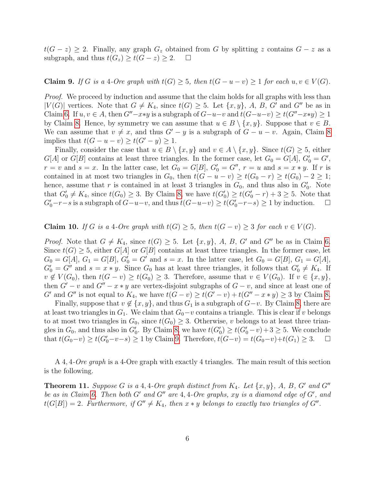$t(G - z) \geq 2$ . Finally, any graph  $G_z$  obtained from G by splitting z contains  $G - z$  as a subgraph, and thus  $t(G_z) \geq t(G-z) \geq 2.$   $\Box$ 

### <span id="page-5-1"></span>**Claim 9.** If G is a 4-Ore graph with  $t(G) \geq 5$ , then  $t(G - u - v) \geq 1$  for each  $u, v \in V(G)$ .

*Proof.* We proceed by induction and assume that the claim holds for all graphs with less than  $|V(G)|$  vertices. Note that  $G \neq K_4$ , since  $t(G) \geq 5$ . Let  $\{x, y\}$ , A, B, G' and G'' be as in Claim [6.](#page-4-0) If  $u, v \in A$ , then  $G''-x*y$  is a subgraph of  $G-u-v$  and  $t(G-u-v) \ge t(G''-x*y) \ge 1$ by Claim [8.](#page-4-2) Hence, by symmetry we can assume that  $u \in B \setminus \{x, y\}$ . Suppose that  $v \in B$ . We can assume that  $v \neq x$ , and thus  $G'-y$  is a subgraph of  $G-u-v$ . Again, Claim [8](#page-4-2) implies that  $t(G - u - v) \ge t(G' - y) \ge 1$ .

Finally, consider the case that  $u \in B \setminus \{x, y\}$  and  $v \in A \setminus \{x, y\}$ . Since  $t(G) \geq 5$ , either  $G[A]$  or  $G[B]$  contains at least three triangles. In the former case, let  $G_0 = G[A]$ ,  $G'_0 = G'$ ,  $r = v$  and  $s = x$ . In the latter case, let  $G_0 = G[B]$ ,  $G'_0 = G''$ ,  $r = u$  and  $s = x * y$ . If r is contained in at most two triangles in  $G_0$ , then  $t(G - u - v) \ge t(G_0 - r) \ge t(G_0) - 2 \ge 1$ ; hence, assume that r is contained in at least 3 triangles in  $G_0$ , and thus also in  $G'_0$ . Note that  $G'_0 \neq K_4$ , since  $t(G_0) \geq 3$ . By Claim [8,](#page-4-2) we have  $t(G'_0) \geq t(G'_0 - r) + 3 \geq 5$ . Note that  $G'_0-r-s$  is a subgraph of  $G-u-v$ , and thus  $t(G-u-v) \ge t(G'_0-r-s) \ge 1$  by induction.  $\square$ 

### <span id="page-5-2"></span>**Claim 10.** If G is a 4-Ore graph with  $t(G) \geq 5$ , then  $t(G - v) \geq 3$  for each  $v \in V(G)$ .

*Proof.* Note that  $G \neq K_4$ , since  $t(G) \geq 5$ . Let  $\{x, y\}$ , A, B, G' and G'' be as in Claim [6.](#page-4-0) Since  $t(G) \geq 5$ , either  $G[A]$  or  $G[B]$  contains at least three triangles. In the former case, let  $G_0 = G[A], G_1 = G[B], G'_0 = G'$  and  $s = x$ . In the latter case, let  $G_0 = G[B], G_1 = G[A],$  $G_0' = G''$  and  $s = x * y$ . Since  $G_0$  has at least three triangles, it follows that  $G_0' \neq K_4$ . If  $v \notin V(G_0)$ , then  $t(G - v) \ge t(G_0) \ge 3$ . Therefore, assume that  $v \in V(G_0)$ . If  $v \in \{x, y\}$ , then  $G' - v$  and  $G'' - x * y$  are vertex-disjoint subgraphs of  $G - v$ , and since at least one of G' and G'' is not equal to  $K_4$ , we have  $t(G - v) \ge t(G' - v) + t(G'' - x * y) \ge 3$  by Claim [8.](#page-4-2)

Finally, suppose that  $v \notin \{x, y\}$ , and thus  $G_1$  is a subgraph of  $G-v$ . By Claim [8,](#page-4-2) there are at least two triangles in  $G_1$ . We claim that  $G_0-v$  contains a triangle. This is clear if v belongs to at most two triangles in  $G_0$ , since  $t(G_0) \geq 3$ . Otherwise, v belongs to at least three triangles in  $G_0$ , and thus also in  $G'_0$ . By Claim [8,](#page-4-2) we have  $t(G'_0) \ge t(G'_0 - v) + 3 \ge 5$ . We conclude that  $t(G_0-v) \ge t(G'_0-v-s) \ge 1$  by Claim [9.](#page-5-1) Therefore,  $t(G-v) = t(G_0-v)+t(G_1) \ge 3$ . □

A 4, 4-*Ore graph* is a 4-Ore graph with exactly 4 triangles. The main result of this section is the following.

<span id="page-5-0"></span>**Theorem 11.** Suppose G is a 4, 4-Ore graph distinct from  $K_4$ . Let  $\{x, y\}$ , A, B, G' and G'' be as in Claim [6.](#page-4-0) Then both G' and G'' are  $4,4$ -Ore graphs, xy is a diamond edge of G', and  $t(G[B]) = 2$ . Furthermore, if  $G'' \neq K_4$ , then  $x * y$  belongs to exactly two triangles of  $G''$ .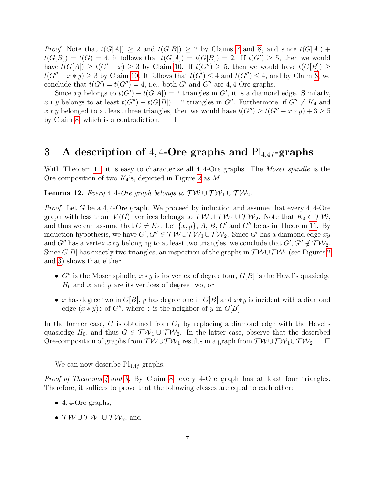*Proof.* Note that  $t(G[A]) \geq 2$  and  $t(G[B]) \geq 2$  by Claims [7](#page-4-1) and [8,](#page-4-2) and since  $t(G[A])$  +  $t(G[B]) = t(G) = 4$ , it follows that  $t(G[A]) = t(G[B]) = 2$ . If  $t(G') \geq 5$ , then we would have  $t(G[A]) \geq t(G'-x) \geq 3$  by Claim [10.](#page-5-2) If  $t(G'') \geq 5$ , then we would have  $t(G[B]) \geq$  $t(G'' - x * y) \ge 3$  by Claim [10.](#page-5-2) It follows that  $t(G') \le 4$  and  $t(G'') \le 4$ , and by Claim [8,](#page-4-2) we conclude that  $t(G') = t(G'') = 4$ , i.e., both G' and G'' are 4, 4-Ore graphs.

Since xy belongs to  $t(G') - t(G[A]) = 2$  triangles in G', it is a diamond edge. Similarly,  $x * y$  belongs to at least  $t(G'') - t(G[B]) = 2$  triangles in  $G''$ . Furthermore, if  $G'' \neq K_4$  and  $x * y$  belonged to at least three triangles, then we would have  $t(G'') \geq t(G'' - x * y) + 3 \geq 5$ by Claim [8,](#page-4-2) which is a contradiction.  $\square$ 

## <span id="page-6-0"></span>3 A description of 4, 4-Ore graphs and  $Pl_{4,4f}$ -graphs

With Theorem [11,](#page-5-0) it is easy to characterize all 4,4-Ore graphs. The *Moser spindle* is the Ore composition of two  $K_4$ 's, depicted in Figure [2](#page-1-1) as M.

<span id="page-6-1"></span>**Lemma 12.** Every 4, 4-Ore graph belongs to  $TW \cup TW_1 \cup TW_2$ .

*Proof.* Let G be a 4, 4-Ore graph. We proceed by induction and assume that every 4, 4-Ore graph with less than  $|V(G)|$  vertices belongs to  $\mathcal{TW} \cup \mathcal{TW}_1 \cup \mathcal{TW}_2$ . Note that  $K_4 \in \mathcal{TW}$ , and thus we can assume that  $G \neq K_4$ . Let  $\{x, y\}$ , A, B, G' and G'' be as in Theorem [11.](#page-5-0) By induction hypothesis, we have  $G', G'' \in TW \cup TW_1 \cup TW_2$ . Since  $G'$  has a diamond edge  $xy$ and G'' has a vertex  $x*y$  belonging to at least two triangles, we conclude that  $G', G'' \notin \mathcal{TW}_2$ . Since G[B] has exactly two triangles, an inspection of the graphs in  $\mathcal{TW} \cup \mathcal{TW}_1$  (see Figures [2](#page-1-1) and [3\)](#page-2-0) shows that either

- $G''$  is the Moser spindle,  $x * y$  is its vertex of degree four,  $G[B]$  is the Havel's quasiedge  $H_0$  and x and y are its vertices of degree two, or
- x has degree two in  $G[B]$ , y has degree one in  $G[B]$  and  $x \ast y$  is incident with a diamond edge  $(x * y)z$  of G'', where z is the neighbor of y in G[B].

In the former case, G is obtained from  $G_1$  by replacing a diamond edge with the Havel's quasiedge  $H_0$ , and thus  $G \in \mathcal{TW}_1 \cup \mathcal{TW}_2$ . In the latter case, observe that the described Ore-composition of graphs from  $\mathcal{TW} \cup \mathcal{TW}_1$  results in a graph from  $\mathcal{TW} \cup \mathcal{TW}_1 \cup \mathcal{TW}_2$ .  $\square$ 

We can now describe  $\text{Pl}_{4,4f}$ -graphs.

Proof of Theorems [4](#page-2-2) and [3.](#page-2-1) By Claim [8,](#page-4-2) every 4-Ore graph has at least four triangles. Therefore, it suffices to prove that the following classes are equal to each other:

- $\bullet$  4, 4-Ore graphs,
- $\mathcal{TW} \cup \mathcal{TW}_1 \cup \mathcal{TW}_2$ , and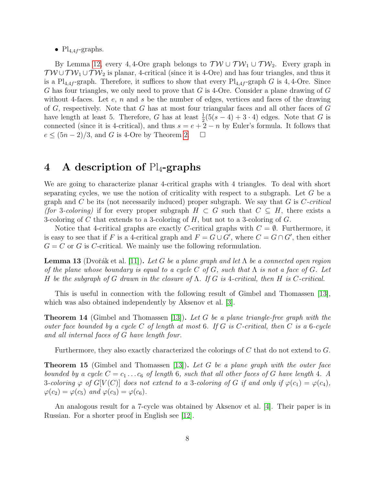•  $Pl_{4,4f}$ -graphs.

By Lemma [12,](#page-6-1) every 4,4-Ore graph belongs to  $T W \cup T W_1 \cup T W_2$ . Every graph in  $TW \cup TW_1 \cup TW_2$  is planar, 4-critical (since it is 4-Ore) and has four triangles, and thus it is a Pl<sub>4,4f</sub>-graph. Therefore, it suffices to show that every Pl<sub>4,4f</sub>-graph G is 4,4-Ore. Since G has four triangles, we only need to prove that G is 4-Ore. Consider a plane drawing of G without 4-faces. Let  $e$ ,  $n$  and  $s$  be the number of edges, vertices and faces of the drawing of G, respectively. Note that G has at most four triangular faces and all other faces of G have length at least 5. Therefore, G has at least  $\frac{1}{2}(5(s-4)+3\cdot4)$  edges. Note that G is connected (since it is 4-critical), and thus  $s = e + 2 - n$  by Euler's formula. It follows that  $e \leq (5n-2)/3$ , and G is 4-Ore by Theorem [2.](#page-2-3)  $\Box$ 

## 4 A description of  $Pl_4$ -graphs

We are going to characterize planar 4-critical graphs with 4 triangles. To deal with short separating cycles, we use the notion of criticality with respect to a subgraph. Let  $G$  be a graph and C be its (not necessarily induced) proper subgraph. We say that  $G$  is  $C\text{-}critical$ (for 3-coloring) if for every proper subgraph  $H \subset G$  such that  $C \subseteq H$ , there exists a 3-coloring of C that extends to a 3-coloring of  $H$ , but not to a 3-coloring of  $G$ .

Notice that 4-critical graphs are exactly C-critical graphs with  $C = \emptyset$ . Furthermore, it is easy to see that if F is a 4-critical graph and  $F = G \cup G'$ , where  $C = G \cap G'$ , then either  $G = C$  or G is C-critical. We mainly use the following reformulation.

<span id="page-7-0"></span>**Lemma 13** (Dvořák et al. [\[11\]](#page-19-10)). Let G be a plane graph and let  $\Lambda$  be a connected open region of the plane whose boundary is equal to a cycle C of G, such that  $\Lambda$  is not a face of G. Let H be the subgraph of G drawn in the closure of  $\Lambda$ . If G is 4-critical, then H is C-critical.

This is useful in connection with the following result of Gimbel and Thomassen [\[13\]](#page-19-11), which was also obtained independently by Aksenov et al. [\[3\]](#page-18-5).

<span id="page-7-1"></span>**Theorem 14** (Gimbel and Thomassen [\[13\]](#page-19-11)). Let G be a plane triangle-free graph with the outer face bounded by a cycle C of length at most 6. If G is C-critical, then C is a 6-cycle and all internal faces of G have length four.

Furthermore, they also exactly characterized the colorings of C that do not extend to G.

<span id="page-7-2"></span>**Theorem 15** (Gimbel and Thomassen [\[13\]](#page-19-11)). Let G be a plane graph with the outer face bounded by a cycle  $C = c_1 \ldots c_6$  of length 6, such that all other faces of G have length 4. A 3-coloring  $\varphi$  of  $G[V(C)]$  does not extend to a 3-coloring of G if and only if  $\varphi(c_1) = \varphi(c_4)$ ,  $\varphi(c_2) = \varphi(c_5)$  and  $\varphi(c_3) = \varphi(c_6)$ .

An analogous result for a 7-cycle was obtained by Aksenov et al. [\[4\]](#page-18-6). Their paper is in Russian. For a shorter proof in English see [\[12\]](#page-19-12).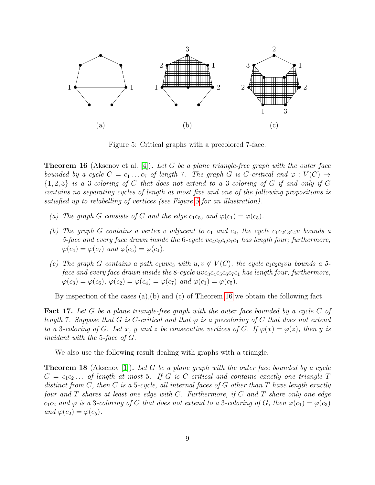

<span id="page-8-0"></span>Figure 5: Critical graphs with a precolored 7-face.

<span id="page-8-1"></span>**Theorem 16** (Aksenov et al. [\[4\]](#page-18-6)). Let G be a plane triangle-free graph with the outer face bounded by a cycle  $C = c_1 \ldots c_7$  of length 7. The graph G is C-critical and  $\varphi : V(C) \rightarrow$  $\{1,2,3\}$  is a 3-coloring of C that does not extend to a 3-coloring of G if and only if G contains no separating cycles of length at most five and one of the following propositions is satisfied up to relabelling of vertices (see Figure [5](#page-8-0) for an illustration).

- (a) The graph G consists of C and the edge  $c_1c_5$ , and  $\varphi(c_1) = \varphi(c_5)$ .
- (b) The graph G contains a vertex v adjacent to  $c_1$  and  $c_4$ , the cycle  $c_1c_2c_3c_4v$  bounds a 5-face and every face drawn inside the 6-cycle  $vc_4c_5c_6c_7c_1$  has length four; furthermore,  $\varphi(c_4) = \varphi(c_7)$  and  $\varphi(c_5) = \varphi(c_1)$ .
- (c) The graph G contains a path  $c_1uvc_3$  with  $u, v \notin V(C)$ , the cycle  $c_1c_2c_3vu$  bounds a 5face and every face drawn inside the  $8$ -cycle uvc<sub>3</sub>c<sub>4</sub>c<sub>5</sub>c<sub>6</sub>c<sub>7</sub>c<sub>1</sub> has length four; furthermore,  $\varphi(c_3) = \varphi(c_6), \varphi(c_2) = \varphi(c_4) = \varphi(c_7)$  and  $\varphi(c_1) = \varphi(c_5)$ .

By inspection of the cases (a),(b) and (c) of Theorem [16](#page-8-1) we obtain the following fact.

<span id="page-8-3"></span>**Fact 17.** Let G be a plane triangle-free graph with the outer face bounded by a cycle C of length 7. Suppose that G is C-critical and that  $\varphi$  is a precoloring of C that does not extend to a 3-coloring of G. Let x, y and z be consecutive vertices of C. If  $\varphi(x) = \varphi(z)$ , then y is incident with the 5-face of G.

We also use the following result dealing with graphs with a triangle.

<span id="page-8-2"></span>**Theorem 18** (Aksenov [\[1\]](#page-18-0)). Let G be a plane graph with the outer face bounded by a cycle  $C = c_1c_2...$  of length at most 5. If G is C-critical and contains exactly one triangle T distinct from C, then C is a 5-cycle, all internal faces of G other than T have length exactly four and  $T$  shares at least one edge with  $C$ . Furthermore, if  $C$  and  $T$  share only one edge  $c_1c_2$  and  $\varphi$  is a 3-coloring of C that does not extend to a 3-coloring of G, then  $\varphi(c_1) = \varphi(c_3)$ and  $\varphi(c_2) = \varphi(c_5)$ .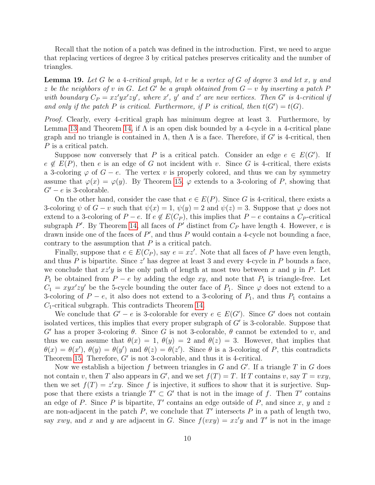Recall that the notion of a patch was defined in the introduction. First, we need to argue that replacing vertices of degree 3 by critical patches preserves criticality and the number of triangles.

<span id="page-9-0"></span>**Lemma 19.** Let G be a 4-critical graph, let v be a vertex of G of degree 3 and let x, y and z be the neighbors of v in G. Let G' be a graph obtained from  $G - v$  by inserting a patch F with boundary  $C_P = xz'yx'zy'$ , where x', y' and z' are new vertices. Then G' is 4-critical if and only if the patch P is critical. Furthermore, if P is critical, then  $t(G') = t(G)$ .

Proof. Clearly, every 4-critical graph has minimum degree at least 3. Furthermore, by Lemma [13](#page-7-0) and Theorem [14,](#page-7-1) if  $\Lambda$  is an open disk bounded by a 4-cycle in a 4-critical plane graph and no triangle is contained in  $\Lambda$ , then  $\Lambda$  is a face. Therefore, if G' is 4-critical, then P is a critical patch.

Suppose now conversely that P is a critical patch. Consider an edge  $e \in E(G')$ . If  $e \notin E(P)$ , then e is an edge of G not incident with v. Since G is 4-critical, there exists a 3-coloring  $\varphi$  of  $G - e$ . The vertex v is properly colored, and thus we can by symmetry assume that  $\varphi(x) = \varphi(y)$ . By Theorem [15,](#page-7-2)  $\varphi$  extends to a 3-coloring of P, showing that  $G' - e$  is 3-colorable.

On the other hand, consider the case that  $e \in E(P)$ . Since G is 4-critical, there exists a 3-coloring  $\psi$  of  $G - v$  such that  $\psi(x) = 1$ ,  $\psi(y) = 2$  and  $\psi(z) = 3$ . Suppose that  $\varphi$  does not extend to a 3-coloring of  $P - e$ . If  $e \notin E(C_P)$ , this implies that  $P - e$  contains a  $C_P$ -critical subgraph P'. By Theorem [14,](#page-7-1) all faces of P' distinct from  $C_P$  have length 4. However, e is drawn inside one of the faces of  $P'$ , and thus P would contain a 4-cycle not bounding a face, contrary to the assumption that  $P$  is a critical patch.

Finally, suppose that  $e \in E(C_P)$ , say  $e = xz'$ . Note that all faces of P have even length, and thus P is bipartite. Since  $z'$  has degree at least 3 and every 4-cycle in P bounds a face, we conclude that  $xz'y$  is the only path of length at most two between x and y in P. Let  $P_1$  be obtained from  $P - e$  by adding the edge xy, and note that  $P_1$  is triangle-free. Let  $C_1 = xyx'zy'$  be the 5-cycle bounding the outer face of  $P_1$ . Since  $\varphi$  does not extend to a 3-coloring of  $P - e$ , it also does not extend to a 3-coloring of  $P_1$ , and thus  $P_1$  contains a  $C_1$ -critical subgraph. This contradicts Theorem [14.](#page-7-1)

We conclude that  $G' - e$  is 3-colorable for every  $e \in E(G')$ . Since G' does not contain isolated vertices, this implies that every proper subgraph of  $G'$  is 3-colorable. Suppose that G' has a proper 3-coloring  $\theta$ . Since G is not 3-colorable,  $\theta$  cannot be extended to v, and thus we can assume that  $\theta(x) = 1$ ,  $\theta(y) = 2$  and  $\theta(z) = 3$ . However, that implies that  $\theta(x) = \theta(x'), \ \theta(y) = \theta(y')$  and  $\theta(z) = \theta(z').$  Since  $\theta$  is a 3-coloring of P, this contradicts Theorem [15.](#page-7-2) Therefore,  $G'$  is not 3-colorable, and thus it is 4-critical.

Now we establish a bijection  $f$  between triangles in  $G$  and  $G'$ . If a triangle  $T$  in  $G$  does not contain v, then T also appears in G', and we set  $f(T) = T$ . If T contains v, say  $T = vxy$ , then we set  $f(T) = z'xy$ . Since f is injective, it suffices to show that it is surjective. Suppose that there exists a triangle  $T' \subset G'$  that is not in the image of f. Then T' contains an edge of P. Since P is bipartite, T' contains an edge outside of P, and since x, y and z are non-adjacent in the patch  $P$ , we conclude that  $T'$  intersects  $P$  in a path of length two, say xwy, and x and y are adjacent in G. Since  $f(vxy) = xz'y$  and T' is not in the image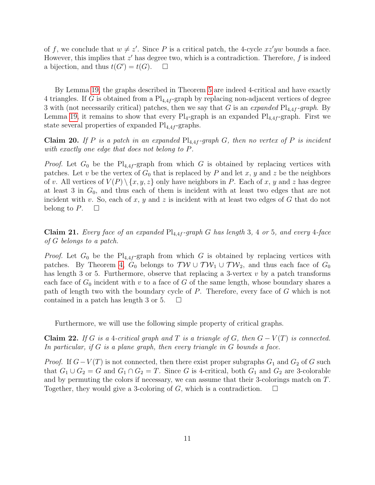of f, we conclude that  $w \neq z'$ . Since P is a critical patch, the 4-cycle  $xz'yw$  bounds a face. However, this implies that  $z'$  has degree two, which is a contradiction. Therefore,  $f$  is indeed a bijection, and thus  $t(G') = t(G)$ .  $\Box$ 

By Lemma [19,](#page-9-0) the graphs described in Theorem [5](#page-3-1) are indeed 4-critical and have exactly 4 triangles. If G is obtained from a  $\text{Pl}_{4,4f}$ -graph by replacing non-adjacent vertices of degree 3 with (not necessarily critical) patches, then we say that G is an expanded  $Pl_{4,4f}$ -graph. By Lemma [19,](#page-9-0) it remains to show that every  $Pl_4$ -graph is an expanded  $Pl_{4,4f}$ -graph. First we state several properties of expanded  $Pl_{4,4f}$ -graphs.

<span id="page-10-2"></span>Claim 20. If P is a patch in an expanded  $Pl_{4,4f}$ -graph G, then no vertex of P is incident with exactly one edge that does not belong to P.

*Proof.* Let  $G_0$  be the Pl<sub>4,4f</sub>-graph from which G is obtained by replacing vertices with patches. Let v be the vertex of  $G_0$  that is replaced by P and let x, y and z be the neighbors of v. All vertices of  $V(P) \setminus \{x, y, z\}$  only have neighbors in P. Each of x, y and z has degree at least 3 in  $G_0$ , and thus each of them is incident with at least two edges that are not incident with v. So, each of x, y and z is incident with at least two edges of  $G$  that do not belong to P.  $\Box$ 

<span id="page-10-1"></span>**Claim 21.** Every face of an expanded  $Pl_{4,4f}$ -graph G has length 3, 4 or 5, and every 4-face of G belongs to a patch.

*Proof.* Let  $G_0$  be the Pl<sub>4,4f</sub>-graph from which G is obtained by replacing vertices with patches. By Theorem [4,](#page-2-2)  $G_0$  belongs to  $TW \cup TW_1 \cup TW_2$ , and thus each face of  $G_0$ has length 3 or 5. Furthermore, observe that replacing a 3-vertex  $v$  by a patch transforms each face of  $G_0$  incident with v to a face of G of the same length, whose boundary shares a path of length two with the boundary cycle of P. Therefore, every face of G which is not contained in a patch has length 3 or 5.  $\Box$ 

Furthermore, we will use the following simple property of critical graphs.

<span id="page-10-0"></span>**Claim 22.** If G is a 4-critical graph and T is a triangle of G, then  $G - V(T)$  is connected. In particular, if G is a plane graph, then every triangle in G bounds a face.

*Proof.* If  $G-V(T)$  is not connected, then there exist proper subgraphs  $G_1$  and  $G_2$  of G such that  $G_1 \cup G_2 = G$  and  $G_1 \cap G_2 = T$ . Since G is 4-critical, both  $G_1$  and  $G_2$  are 3-colorable and by permuting the colors if necessary, we can assume that their 3-colorings match on T. Together, they would give a 3-coloring of G, which is a contradiction.  $\Box$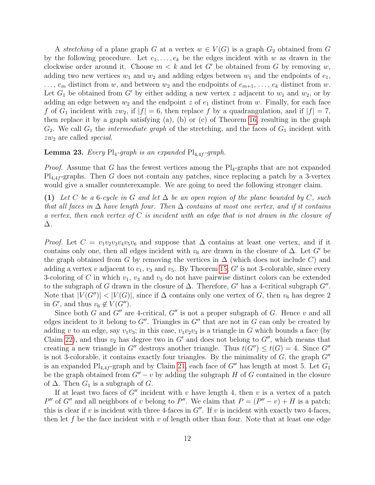A stretching of a plane graph G at a vertex  $w \in V(G)$  is a graph  $G_2$  obtained from G by the following procedure. Let  $e_1, \ldots, e_k$  be the edges incident with w as drawn in the clockwise order around it. Choose  $m < k$  and let G' be obtained from G by removing w, adding two new vertices  $w_1$  and  $w_2$  and adding edges between  $w_1$  and the endpoints of  $e_1$ ,  $\ldots$ ,  $e_m$  distinct from w, and between  $w_2$  and the endpoints of  $e_{m+1}, \ldots, e_k$  distinct from w. Let  $G_1$  be obtained from G' by either adding a new vertex z adjacent to  $w_1$  and  $w_2$ , or by adding an edge between  $w_2$  and the endpoint z of  $e_1$  distinct from w. Finally, for each face f of  $G_1$  incident with  $zw_2$ , if  $|f| = 6$ , then replace f by a quadrangulation, and if  $|f| = 7$ , then replace it by a graph satisfying (a), (b) or (c) of Theorem [16,](#page-8-1) resulting in the graph  $G_2$ . We call  $G_1$  the *intermediate graph* of the stretching, and the faces of  $G_1$  incident with  $zw_2$  are called special.

### <span id="page-11-1"></span>**Lemma 23.** Every  $Pl_4$ -graph is an expanded  $Pl_{4,4f}$ -graph.

*Proof.* Assume that G has the fewest vertices among the  $Pl_4$ -graphs that are not expanded  $Pl_{4,4f}$ -graphs. Then G does not contain any patches, since replacing a patch by a 3-vertex would give a smaller counterexample. We are going to need the following stronger claim.

<span id="page-11-0"></span>(1) Let C be a 6-cycle in G and let  $\Delta$  be an open region of the plane bounded by C, such that all faces in  $\Delta$  have length four. Then  $\Delta$  contains at most one vertex, and if it contains a vertex, then each vertex of  $C$  is incident with an edge that is not drawn in the closure of ∆.

*Proof.* Let  $C = v_1v_2v_3v_4v_5v_6$  and suppose that  $\Delta$  contains at least one vertex, and if it contains only one, then all edges incident with  $v_6$  are drawn in the closure of  $\Delta$ . Let G' be the graph obtained from G by removing the vertices in  $\Delta$  (which does not include C) and adding a vertex v adjacent to  $v_1$ ,  $v_3$  and  $v_5$ . By Theorem [15,](#page-7-2) G' is not 3-colorable, since every 3-coloring of C in which  $v_1$ ,  $v_3$  and  $v_5$  do not have pairwise distinct colors can be extended to the subgraph of G drawn in the closure of  $\Delta$ . Therefore, G' has a 4-critical subgraph G". Note that  $|V(G'')| < |V(G)|$ , since if  $\Delta$  contains only one vertex of G, then  $v_6$  has degree 2 in  $G'$ , and thus  $v_6 \notin V(G'')$ .

Since both G and  $G''$  are 4-critical,  $G''$  is not a proper subgraph of G. Hence v and all edges incident to it belong to  $G''$ . Triangles in  $G''$  that are not in G can only be created by adding v to an edge, say  $v_1v_3$ ; in this case,  $v_1v_2v_3$  is a triangle in G which bounds a face (by Claim [22\)](#page-10-0), and thus  $v_2$  has degree two in G' and does not belong to G'', which means that creating a new triangle in G<sup>tt</sup> destroys another triangle. Thus  $t(G'') \leq t(G) = 4$ . Since G<sup>tt</sup> is not 3-colorable, it contains exactly four triangles. By the minimality of  $G$ , the graph  $G''$ is an expanded  $Pl_{4,4f}$ -graph and by Claim [21,](#page-10-1) each face of G'' has length at most 5. Let  $G_1$ be the graph obtained from  $G'' - v$  by adding the subgraph H of G contained in the closure of  $\Delta$ . Then  $G_1$  is a subgraph of  $G$ .

If at least two faces of  $G''$  incident with v have length 4, then v is a vertex of a patch P'' of G'' and all neighbors of v belong to P''. We claim that  $P = (P'' - v) + H$  is a patch; this is clear if v is incident with three 4-faces in  $G''$ . If v is incident with exactly two 4-faces, then let f be the face incident with v of length other than four. Note that at least one edge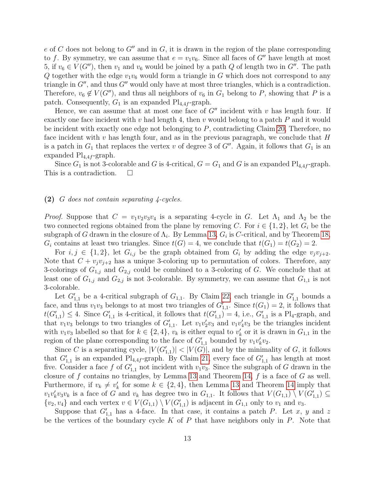e of C does not belong to  $G''$  and in G, it is drawn in the region of the plane corresponding to f. By symmetry, we can assume that  $e = v_1v_6$ . Since all faces of G'' have length at most 5, if  $v_6 \in V(G'')$ , then  $v_1$  and  $v_6$  would be joined by a path Q of length two in  $G''$ . The path Q together with the edge  $v_1v_6$  would form a triangle in G which does not correspond to any triangle in  $G''$ , and thus  $G''$  would only have at most three triangles, which is a contradiction. Therefore,  $v_6 \notin V(G'')$ , and thus all neighbors of  $v_6$  in  $G_1$  belong to P, showing that P is a patch. Consequently,  $G_1$  is an expanded  $Pl_{4,4f}$ -graph.

Hence, we can assume that at most one face of  $G''$  incident with v has length four. If exactly one face incident with v had length 4, then v would belong to a patch  $P$  and it would be incident with exactly one edge not belonging to P, contradicting Claim [20,](#page-10-2) Therefore, no face incident with  $v$  has length four, and as in the previous paragraph, we conclude that  $H$ is a patch in  $G_1$  that replaces the vertex v of degree 3 of  $G''$ . Again, it follows that  $G_1$  is an expanded  $\text{Pl}_{4,4f}$ -graph.

Since  $G_1$  is not 3-colorable and G is 4-critical,  $G = G_1$  and G is an expanded  $Pl_{4,4f}$ -graph. This is a contradiction.  $\Box$ 

### <span id="page-12-0"></span>(2) G does not contain separating  $\angle$ -cycles.

*Proof.* Suppose that  $C = v_1v_2v_3v_4$  is a separating 4-cycle in G. Let  $\Lambda_1$  and  $\Lambda_2$  be the two connected regions obtained from the plane by removing C. For  $i \in \{1,2\}$ , let  $G_i$  be the subgraph of G drawn in the closure of  $\Lambda_i$ . By Lemma [13,](#page-7-0)  $G_i$  is C-critical, and by Theorem [18,](#page-8-2)  $G_i$  contains at least two triangles. Since  $t(G) = 4$ , we conclude that  $t(G_1) = t(G_2) = 2$ .

For  $i, j \in \{1, 2\}$ , let  $G_{i,j}$  be the graph obtained from  $G_i$  by adding the edge  $v_jv_{j+2}$ . Note that  $C + v_j v_{j+2}$  has a unique 3-coloring up to permutation of colors. Therefore, any 3-colorings of  $G_{1,j}$  and  $G_{2,j}$  could be combined to a 3-coloring of G. We conclude that at least one of  $G_{1,j}$  and  $G_{2,j}$  is not 3-colorable. By symmetry, we can assume that  $G_{1,1}$  is not 3-colorable.

Let  $G'_{1,1}$  be a 4-critical subgraph of  $G_{1,1}$ . By Claim [22,](#page-10-0) each triangle in  $G'_{1,1}$  bounds a face, and thus  $v_1v_3$  belongs to at most two triangles of  $G'_{1,1}$ . Since  $t(G_1) = 2$ , it follows that  $t(G'_{1,1}) \leq 4$ . Since  $G'_{1,1}$  is 4-critical, it follows that  $t(G'_{1,1}) = 4$ , i.e.,  $G'_{1,1}$  is a Pl<sub>4</sub>-graph, and that  $v_1v_3$  belongs to two triangles of  $G'_{1,1}$ . Let  $v_1v'_2v_3$  and  $v_1v'_4v_3$  be the triangles incident with  $v_1v_3$  labelled so that for  $k \in \{2, 4\}$ ,  $v_k$  is either equal to  $v'_k$  or it is drawn in  $G_{1,1}$  in the region of the plane corresponding to the face of  $G'_{1,1}$  bounded by  $v_1v'_kv_2$ .

Since C is a separating cycle,  $|V(G'_{1,1})|$  <  $|V(G)|$ , and by the minimality of G, it follows that  $G'_{1,1}$  is an expanded Pl<sub>4,4f</sub>-graph. By Claim [21,](#page-10-1) every face of  $G'_{1,1}$  has length at most five. Consider a face f of  $G'_{1,1}$  not incident with  $v_1v_3$ . Since the subgraph of G drawn in the closure of f contains no triangles, by Lemma [13](#page-7-0) and Theorem [14,](#page-7-1) f is a face of  $G$  as well. Furthermore, if  $v_k \neq v'_k$  for some  $k \in \{2, 4\}$ , then Lemma [13](#page-7-0) and Theorem [14](#page-7-1) imply that  $v_1v'_kv_3v_k$  is a face of G and  $v_k$  has degree two in  $G_{1,1}$ . It follows that  $V(G_{1,1}) \setminus V(G'_{1,1}) \subseteq$  $\{v_2, v_4\}$  and each vertex  $v \in V(G_{1,1}) \setminus V(G'_{1,1})$  is adjacent in  $G_{1,1}$  only to  $v_1$  and  $v_3$ .

Suppose that  $G'_{1,1}$  has a 4-face. In that case, it contains a patch P. Let x, y and z be the vertices of the boundary cycle  $K$  of  $P$  that have neighbors only in  $P$ . Note that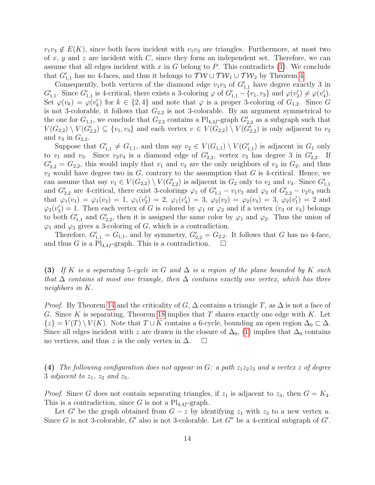$v_1v_3 \notin E(K)$ , since both faces incident with  $v_1v_3$  are triangles. Furthermore, at most two of x, y and z are incident with C, since they form an independent set. Therefore, we can assume that all edges incident with  $x$  in  $G$  belong to  $P$ . This contradicts [\(1\)](#page-11-0). We conclude that  $G'_{1,1}$  has no 4-faces, and thus it belongs to  $\mathcal{TW} \cup \mathcal{TW}_1 \cup \mathcal{TW}_2$  by Theorem [4.](#page-2-2)

Consequently, both vertices of the diamond edge  $v_1v_3$  of  $G'_{1,1}$  have degree exactly 3 in  $G'_{1,1}$ . Since  $G'_{1,1}$  is 4-critical, there exists a 3-coloring  $\varphi$  of  $G'_{1,1} - \{v_1, v_3\}$  and  $\varphi(v_2') \neq \varphi(v_4')$ . Set  $\varphi(v_k) = \varphi(v'_k)$  for  $k \in \{2, 4\}$  and note that  $\varphi$  is a proper 3-coloring of  $G_{1,2}$ . Since G is not 3-colorable, it follows that  $G_{2,2}$  is not 3-colorable. By an argument symmetrical to the one for  $G_{1,1}$ , we conclude that  $G_{2,2}$  contains a  $\text{Pl}_{4,4f}$ -graph  $G'_{2,2}$  as a subgraph such that  $V(G_{2,2}) \setminus V(G'_{2,2}) \subseteq \{v_1,v_3\}$  and each vertex  $v \in V(G_{2,2}) \setminus V(G'_{2,2})$  is only adjacent to  $v_2$ and  $v_4$  in  $G_{2,2}$ .

Suppose that  $G'_{1,1} \neq G_{1,1}$ , and thus say  $v_2 \in V(G_{1,1}) \setminus V(G'_{1,1})$  is adjacent in  $G_1$  only to  $v_1$  and  $v_3$ . Since  $v_2v_4$  is a diamond edge of  $G'_{2,2}$ , vertex  $v_2$  has degree 3 in  $G'_{2,2}$ . If  $G'_{2,2} = G_{2,2}$ , this would imply that  $v_1$  and  $v_3$  are the only neighbors of  $v_2$  in  $G_2$ , and thus  $v_2$  would have degree two in  $G$ , contrary to the assumption that  $G$  is 4-critical. Hence, we can assume that say  $v_1 \in V(G_{2,2}) \setminus V(G'_{2,2})$  is adjacent in  $G_2$  only to  $v_2$  and  $v_4$ . Since  $G'_{1,1}$ and  $G'_{2,2}$  are 4-critical, there exist 3-colorings  $\varphi_1$  of  $G'_{1,1} - v_1v_3$  and  $\varphi_2$  of  $G'_{2,2} - v_2v_4$  such that  $\varphi_1(v_1) = \varphi_1(v_3) = 1$ ,  $\varphi_1(v_2') = 2$ ,  $\varphi_1(v_4') = 3$ ,  $\varphi_2(v_2) = \varphi_2(v_4) = 3$ ,  $\varphi_2(v_1') = 2$  and  $\varphi_2(v_3') = 1$ . Then each vertex of G is colored by  $\varphi_1$  or  $\varphi_2$  and if a vertex  $(v_3$  or  $v_4)$  belongs to both  $G'_{1,1}$  and  $G'_{2,2}$ , then it is assigned the same color by  $\varphi_1$  and  $\varphi_2$ . Thus the union of  $\varphi_1$  and  $\varphi_2$  gives a 3-coloring of G, which is a contradiction.

Therefore,  $G'_{1,1} = G_{1,1}$ , and by symmetry,  $G'_{2,2} = G_{2,2}$ . It follows that G has no 4-face, and thus G is a Pl<sub>4,4f</sub>-graph. This is a contradiction.  $\square$ 

<span id="page-13-0"></span>(3) If K is a separating 5-cycle in G and  $\Delta$  is a region of the plane bounded by K such that  $\Delta$  contains at most one triangle, then  $\Delta$  contains exactly one vertex, which has three neighbors in K.

*Proof.* By Theorem [14](#page-7-1) and the criticality of G,  $\Delta$  contains a triangle T, as  $\Delta$  is not a face of G. Since K is separating, Theorem [18](#page-8-2) implies that T shares exactly one edge with K. Let  $\{z\} = V(T) \setminus V(K)$ . Note that  $T \cup K$  contains a 6-cycle, bounding an open region  $\Delta_0 \subset \Delta$ . Since all edges incident with z are drawn in the closure of  $\Delta_0$ , [\(1\)](#page-11-0) implies that  $\Delta_0$  contains no vertices, and thus z is the only vertex in  $\Delta$ .  $\square$ 

<span id="page-13-1"></span>(4) The following configuration does not appear in G: a path  $z_1z_2z_3$  and a vertex z of degree 3 adjacent to  $z_1$ ,  $z_2$  and  $z_3$ .

*Proof.* Since G does not contain separating triangles, if  $z_1$  is adjacent to  $z_3$ , then  $G = K_4$ . This is a contradiction, since G is not a  $Pl_{4,4f}$ -graph.

Let G' be the graph obtained from  $G - z$  by identifying  $z_1$  with  $z_3$  to a new vertex u. Since G is not 3-colorable, G' also is not 3-colorable. Let  $G''$  be a 4-critical subgraph of  $G'$ .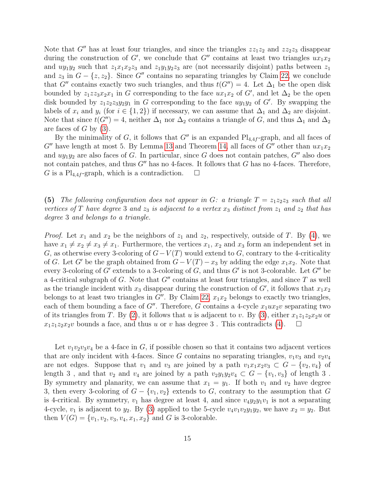Note that  $G''$  has at least four triangles, and since the triangles  $zz_1z_2$  and  $zz_2z_3$  disappear during the construction of G', we conclude that G'' contains at least two triangles  $ux_1x_2$ and  $uy_1y_2$  such that  $z_1x_1x_2z_3$  and  $z_1y_1y_2z_3$  are (not necessarily disjoint) paths between  $z_1$ and  $z_3$  in  $G - \{z, z_2\}$ . Since G'' contains no separating triangles by Claim [22,](#page-10-0) we conclude that G<sup>"</sup> contains exactly two such triangles, and thus  $t(G'') = 4$ . Let  $\Delta_1$  be the open disk bounded by  $z_1zz_3x_2x_1$  in G corresponding to the face  $ux_1x_2$  of G', and let  $\Delta_2$  be the open disk bounded by  $z_1z_2z_3y_2y_1$  in G corresponding to the face  $uy_1y_2$  of G'. By swapping the labels of  $x_i$  and  $y_i$  (for  $i \in \{1,2\}$ ) if necessary, we can assume that  $\Delta_1$  and  $\Delta_2$  are disjoint. Note that since  $t(G'') = 4$ , neither  $\Delta_1$  nor  $\Delta_2$  contains a triangle of G, and thus  $\Delta_1$  and  $\Delta_2$ are faces of  $G$  by  $(3)$ .

By the minimality of G, it follows that  $G''$  is an expanded  $Pl_{4,4f}$ -graph, and all faces of  $G''$  have length at most 5. By Lemma [13](#page-7-0) and Theorem [14,](#page-7-1) all faces of  $G''$  other than  $ux_1x_2$ and  $uy_1y_2$  are also faces of G. In particular, since G does not contain patches,  $G''$  also does not contain patches, and thus  $G''$  has no 4-faces. It follows that G has no 4-faces. Therefore, G is a Pl<sub>4,4f</sub>-graph, which is a contradiction.  $\square$ 

<span id="page-14-0"></span>(5) The following configuration does not appear in G: a triangle  $T = z_1z_2z_3$  such that all vertices of T have degree 3 and  $z_3$  is adjacent to a vertex  $x_3$  distinct from  $z_1$  and  $z_2$  that has degree 3 and belongs to a triangle.

*Proof.* Let  $x_1$  and  $x_2$  be the neighbors of  $z_1$  and  $z_2$ , respectively, outside of T. By [\(4\)](#page-13-1), we have  $x_1 \neq x_2 \neq x_3 \neq x_1$ . Furthermore, the vertices  $x_1, x_2$  and  $x_3$  form an independent set in G, as otherwise every 3-coloring of  $G-V(T)$  would extend to G, contrary to the 4-criticality of G. Let G' be the graph obtained from  $G - V(T) - x_3$  by adding the edge  $x_1x_2$ . Note that every 3-coloring of  $G'$  extends to a 3-coloring of  $G$ , and thus  $G'$  is not 3-colorable. Let  $G''$  be a 4-critical subgraph of G. Note that  $G''$  contains at least four triangles, and since T as well as the triangle incident with  $x_3$  disappear during the construction of  $G'$ , it follows that  $x_1x_2$ belongs to at least two triangles in  $G''$ . By Claim [22,](#page-10-0)  $x_1x_2$  belongs to exactly two triangles, each of them bounding a face of  $G''$ . Therefore, G contains a 4-cycle  $x_1ux_2v$  separating two of its triangles from T. By [\(2\)](#page-12-0), it follows that u is adjacent to v. By [\(3\)](#page-13-0), either  $x_1z_1z_2x_2u$  or  $x_1z_1z_2x_2v$  bounds a face, and thus u or v has degree 3. This contradicts [\(4\)](#page-13-1).  $\Box$ 

Let  $v_1v_2v_3v_4$  be a 4-face in G, if possible chosen so that it contains two adjacent vertices that are only incident with 4-faces. Since G contains no separating triangles,  $v_1v_3$  and  $v_2v_4$ are not edges. Suppose that  $v_1$  and  $v_3$  are joined by a path  $v_1x_1x_2v_3 \subset G - \{v_2, v_4\}$  of length 3, and that  $v_2$  and  $v_4$  are joined by a path  $v_2y_1y_2v_4 \subset G - \{v_1, v_3\}$  of length 3. By symmetry and planarity, we can assume that  $x_1 = y_1$ . If both  $v_1$  and  $v_2$  have degree 3, then every 3-coloring of  $G - \{v_1, v_2\}$  extends to G, contrary to the assumption that G is 4-critical. By symmetry,  $v_1$  has degree at least 4, and since  $v_4y_2y_1v_1$  is not a separating 4-cycle,  $v_1$  is adjacent to  $y_2$ . By [\(3\)](#page-13-0) applied to the 5-cycle  $v_4v_1v_2y_1y_2$ , we have  $x_2 = y_2$ . But then  $V(G) = \{v_1, v_2, v_3, v_4, x_1, x_2\}$  and G is 3-colorable.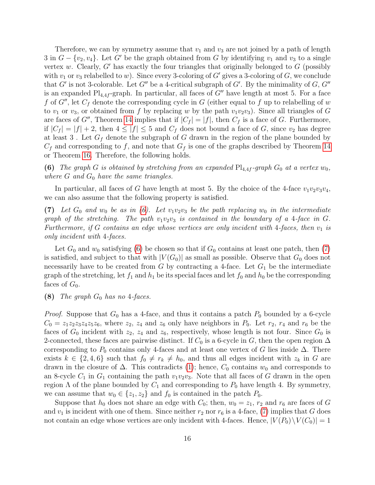Therefore, we can by symmetry assume that  $v_1$  and  $v_3$  are not joined by a path of length 3 in  $G - \{v_2, v_4\}$ . Let G' be the graph obtained from G by identifying  $v_1$  and  $v_3$  to a single vertex w. Clearly,  $G'$  has exactly the four triangles that originally belonged to  $G$  (possibly with  $v_1$  or  $v_3$  relabelled to w). Since every 3-coloring of G' gives a 3-coloring of G, we conclude that G' is not 3-colorable. Let G'' be a 4-critical subgraph of G'. By the minimality of  $G, G''$ is an expanded  $Pl_{4,4f}$ -graph. In particular, all faces of G'' have length at most 5. For a face f of G'', let  $C_f$  denote the corresponding cycle in G (either equal to f up to relabelling of w to  $v_1$  or  $v_3$ , or obtained from f by replacing w by the path  $v_1v_2v_3$ ). Since all triangles of G are faces of G'', Theorem [14](#page-7-1) implies that if  $|C_f| = |f|$ , then  $C_f$  is a face of G. Furthermore, if  $|C_f| = |f| + 2$ , then  $4 \leq |f| \leq 5$  and  $C_f$  does not bound a face of G, since  $v_2$  has degree at least 3. Let  $G_f$  denote the subgraph of G drawn in the region of the plane bounded by  $C_f$  and corresponding to f, and note that  $G_f$  is one of the graphs described by Theorem [14](#page-7-1) or Theorem [16.](#page-8-1) Therefore, the following holds.

<span id="page-15-0"></span>(6) The graph G is obtained by stretching from an expanded  $Pl_{4,4f}$ -graph  $G_0$  at a vertex  $w_0$ , where  $G$  and  $G_0$  have the same triangles.

<span id="page-15-1"></span>In particular, all faces of G have length at most 5. By the choice of the 4-face  $v_1v_2v_3v_4$ , we can also assume that the following property is satisfied.

(7) Let  $G_0$  and  $w_0$  be as in [\(6\)](#page-15-0). Let  $v_1v_2v_3$  be the path replacing  $w_0$  in the intermediate graph of the stretching. The path  $v_1v_2v_3$  is contained in the boundary of a 4-face in G. Furthermore, if G contains an edge whose vertices are only incident with 4-faces, then  $v_1$  is only incident with 4-faces.

Let  $G_0$  and  $w_0$  satisfying [\(6\)](#page-15-0) be chosen so that if  $G_0$  contains at least one patch, then [\(7\)](#page-15-1) is satisfied, and subject to that with  $|V(G_0)|$  as small as possible. Observe that  $G_0$  does not necessarily have to be created from  $G$  by contracting a 4-face. Let  $G_1$  be the intermediate graph of the stretching, let  $f_1$  and  $h_1$  be its special faces and let  $f_0$  and  $h_0$  be the corresponding faces of  $G_0$ .

### (8) The graph  $G_0$  has no 4-faces.

*Proof.* Suppose that  $G_0$  has a 4-face, and thus it contains a patch  $P_0$  bounded by a 6-cycle  $C_0 = z_1 z_2 z_3 z_4 z_5 z_6$ , where  $z_2$ ,  $z_4$  and  $z_6$  only have neighbors in  $P_0$ . Let  $r_2$ ,  $r_4$  and  $r_6$  be the faces of  $G_0$  incident with  $z_2$ ,  $z_4$  and  $z_6$ , respectively, whose length is not four. Since  $G_0$  is 2-connected, these faces are pairwise distinct. If  $C_0$  is a 6-cycle in G, then the open region  $\Delta$ corresponding to  $P_0$  contains only 4-faces and at least one vertex of G lies inside  $\Delta$ . There exists  $k \in \{2, 4, 6\}$  such that  $f_0 \neq r_k \neq h_0$ , and thus all edges incident with  $z_k$  in G are drawn in the closure of  $\Delta$ . This contradicts [\(1\)](#page-11-0); hence,  $C_0$  contains  $w_0$  and corresponds to an 8-cycle  $C_1$  in  $G_1$  containing the path  $v_1v_2v_3$ . Note that all faces of G drawn in the open region  $\Lambda$  of the plane bounded by  $C_1$  and corresponding to  $P_0$  have length 4. By symmetry, we can assume that  $w_0 \in \{z_1, z_2\}$  and  $f_0$  is contained in the patch  $P_0$ .

Suppose that  $h_0$  does not share an edge with  $C_0$ ; then,  $w_0 = z_1$ ,  $r_2$  and  $r_6$  are faces of G and  $v_1$  is incident with one of them. Since neither  $r_2$  nor  $r_6$  is a 4-face, [\(7\)](#page-15-1) implies that G does not contain an edge whose vertices are only incident with 4-faces. Hence,  $|V(P_0)\setminus V(C_0)|=1$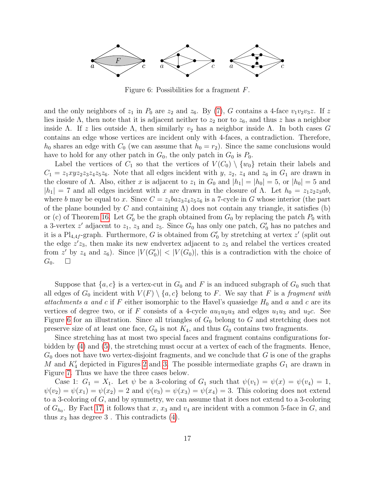

<span id="page-16-0"></span>Figure 6: Possibilities for a fragment F.

and the only neighbors of  $z_1$  in  $P_0$  are  $z_2$  and  $z_6$ . By [\(7\)](#page-15-1), G contains a 4-face  $v_1v_2v_3z$ . If z lies inside  $\Lambda$ , then note that it is adjacent neither to  $z_2$  nor to  $z_6$ , and thus z has a neighbor inside Λ. If z lies outside Λ, then similarly  $v_2$  has a neighbor inside Λ. In both cases G contains an edge whose vertices are incident only with 4-faces, a contradiction. Therefore,  $h_0$  shares an edge with  $C_0$  (we can assume that  $h_0 = r_2$ ). Since the same conclusions would have to hold for any other patch in  $G_0$ , the only patch in  $G_0$  is  $P_0$ .

Label the vertices of  $C_1$  so that the vertices of  $V(C_0) \setminus \{w_0\}$  retain their labels and  $C_1 = z_1xyz_2z_3z_4z_5z_6$ . Note that all edges incident with y,  $z_2$ ,  $z_4$  and  $z_6$  in  $G_1$  are drawn in the closure of  $\Lambda$ . Also, either x is adjacent to  $z_1$  in  $G_0$  and  $|h_1| = |h_0| = 5$ , or  $|h_0| = 5$  and  $|h_1| = 7$  and all edges incident with x are drawn in the closure of  $\Lambda$ . Let  $h_0 = z_1z_2z_3ab$ , where b may be equal to x. Since  $C = z_1baz_3z_4z_5z_6$  is a 7-cycle in G whose interior (the part of the plane bounded by C and containing  $\Lambda$ ) does not contain any triangle, it satisfies (b) or (c) of Theorem [16.](#page-8-1) Let  $G_0'$  be the graph obtained from  $G_0$  by replacing the patch  $P_0$  with a 3-vertex  $z'$  adjacent to  $z_1$ ,  $z_3$  and  $z_5$ . Since  $G_0$  has only one patch,  $G'_0$  has no patches and it is a  $\text{Pl}_{4,4f}$ -graph. Furthermore, G is obtained from  $G'_{0}$  by stretching at vertex  $z'$  (split out the edge  $z'z_3$ , then make its new endvertex adjacent to  $z_5$  and relabel the vertices created from z' by  $z_4$  and  $z_6$ ). Since  $|V(G_0)| < |V(G_0)|$ , this is a contradiction with the choice of  $G_0.$   $\Box$ 

Suppose that  $\{a, c\}$  is a vertex-cut in  $G_0$  and F is an induced subgraph of  $G_0$  such that all edges of  $G_0$  incident with  $V(F) \setminus \{a, c\}$  belong to F. We say that F is a fragment with attachments a and c if F either isomorphic to the Havel's quasiedge  $H_0$  and a and c are its vertices of degree two, or if F consists of a 4-cycle  $au_1u_2u_3$  and edges  $u_1u_3$  and  $u_2c$ . See Figure [6](#page-16-0) for an illustration. Since all triangles of  $G_0$  belong to G and stretching does not preserve size of at least one face,  $G_0$  is not  $K_4$ , and thus  $G_0$  contains two fragments.

Since stretching has at most two special faces and fragment contains configurations forbidden by [\(4\)](#page-13-1) and [\(5\)](#page-14-0), the stretching must occur at a vertex of each of the fragments. Hence,  $G_0$  does not have two vertex-disjoint fragments, and we conclude that G is one of the graphs M and  $K_4'$  depicted in Figures [2](#page-1-1) and [3.](#page-2-0) The possible intermediate graphs  $G_1$  are drawn in Figure [7.](#page-17-0) Thus we have the three cases below.

Case 1:  $G_1 = X_1$ . Let  $\psi$  be a 3-coloring of  $G_1$  such that  $\psi(v_1) = \psi(x) = \psi(v_4) = 1$ ,  $\psi(v_2) = \psi(x_1) = \psi(x_2) = 2$  and  $\psi(v_3) = \psi(x_3) = \psi(x_4) = 3$ . This coloring does not extend to a 3-coloring of G, and by symmetry, we can assume that it does not extend to a 3-coloring of  $G_{h_0}$ . By Fact [17,](#page-8-3) it follows that x, x<sub>3</sub> and v<sub>4</sub> are incident with a common 5-face in G, and thus  $x_3$  has degree 3. This contradicts  $(4)$ .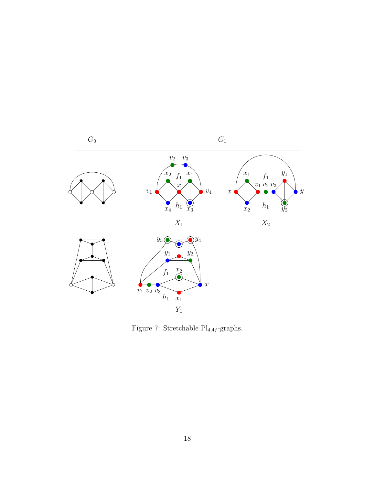

<span id="page-17-0"></span>Figure 7: Stretchable  $\mathrm{Pl}_{4,4f}\text{-graphs.}$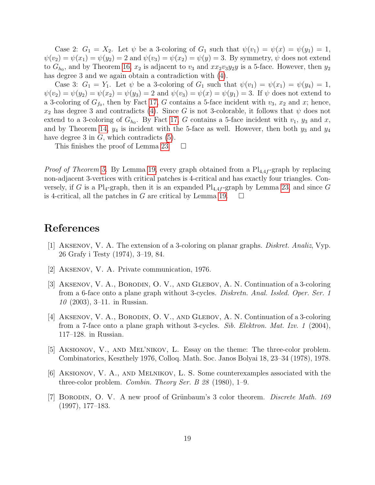Case 2:  $G_1 = X_2$ . Let  $\psi$  be a 3-coloring of  $G_1$  such that  $\psi(v_1) = \psi(x) = \psi(y_1) = 1$ ,  $\psi(v_2) = \psi(x_1) = \psi(y_2) = 2$  and  $\psi(v_3) = \psi(x_2) = \psi(y) = 3$ . By symmetry,  $\psi$  does not extend to  $G_{h_0}$ , and by Theorem [16,](#page-8-1)  $x_2$  is adjacent to  $v_3$  and  $xx_2v_3y_2y$  is a 5-face. However, then  $y_2$ has degree 3 and we again obtain a contradiction with [\(4\)](#page-13-1).

Case 3:  $G_1 = Y_1$ . Let  $\psi$  be a 3-coloring of  $G_1$  such that  $\psi(v_1) = \psi(x_1) = \psi(y_4) = 1$ ,  $\psi(v_2) = \psi(y_2) = \psi(x_2) = \psi(y_3) = 2$  and  $\psi(v_3) = \psi(x) = \psi(y_1) = 3$ . If  $\psi$  does not extend to a 3-coloring of  $G_{f_0}$ , then by Fact [17,](#page-8-3) G contains a 5-face incident with  $v_3$ ,  $x_2$  and x; hence,  $x_2$  has degree 3 and contradicts [\(4\)](#page-13-1). Since G is not 3-colorable, it follows that  $\psi$  does not extend to a 3-coloring of  $G_{h_0}$ . By Fact [17,](#page-8-3) G contains a 5-face incident with  $v_1$ ,  $y_3$  and x, and by Theorem [14,](#page-7-1)  $y_4$  is incident with the 5-face as well. However, then both  $y_3$  and  $y_4$ have degree 3 in  $G$ , which contradicts  $(5)$ .

This finishes the proof of Lemma [23.](#page-11-1)  $\Box$ 

*Proof of Theorem [5.](#page-3-1)* By Lemma [19,](#page-9-0) every graph obtained from a  $Pl_{4,4f}$ -graph by replacing non-adjacent 3-vertices with critical patches is 4-critical and has exactly four triangles. Conversely, if G is a Pl<sub>4</sub>-graph, then it is an expanded  $Pl_{4,4f}$ -graph by Lemma [23,](#page-11-1) and since G is 4-critical, all the patches in G are critical by Lemma [19.](#page-9-0)  $\Box$ 

### References

- <span id="page-18-0"></span>[1] Aksenov, V. A. The extension of a 3-coloring on planar graphs. Diskret. Analiz, Vyp. 26 Grafy i Testy (1974), 3–19, 84.
- <span id="page-18-4"></span>[2] Aksenov, V. A. Private communication, 1976.
- <span id="page-18-5"></span>[3] Aksenov, V. A., Borodin, O. V., and Glebov, A. N. Continuation of a 3-coloring from a 6-face onto a plane graph without 3-cycles. Diskretn. Anal. Issled. Oper. Ser. 1 10 (2003), 3–11. in Russian.
- <span id="page-18-6"></span>[4] Aksenov, V. A., Borodin, O. V., and Glebov, A. N. Continuation of a 3-coloring from a 7-face onto a plane graph without 3-cycles. Sib. Elektron. Mat. Izv. 1 (2004), 117–128. in Russian.
- <span id="page-18-2"></span>[5] Aksionov, V., and Mel'nikov, L. Essay on the theme: The three-color problem. Combinatorics, Keszthely 1976, Colloq. Math. Soc. Janos Bolyai 18, 23–34 (1978), 1978.
- <span id="page-18-3"></span>[6] Aksionov, V. A., and Melnikov, L. S. Some counterexamples associated with the three-color problem. *Combin. Theory Ser. B 28* (1980), 1–9.
- <span id="page-18-1"></span>[7] BORODIN, O. V. A new proof of Grünbaum's 3 color theorem. *Discrete Math.* 169 (1997), 177–183.